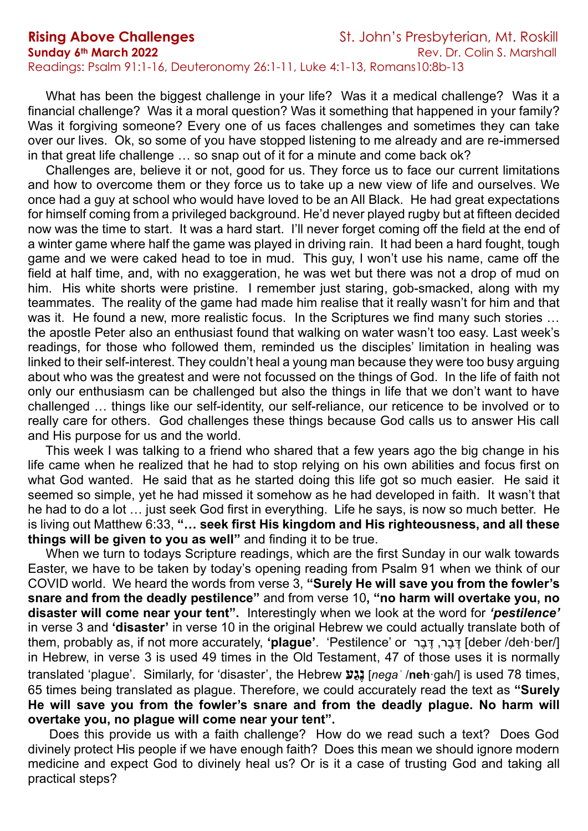What has been the biggest challenge in your life? Was it a medical challenge? Was it a financial challenge? Was it a moral question? Was it something that happened in your family? Was it forgiving someone? Every one of us faces challenges and sometimes they can take over our lives. Ok, so some of you have stopped listening to me already and are re-immersed in that great life challenge ... so snap out of it for a minute and come back ok?

 Challenges are, believe it or not, good for us. They force us to face our current limitations and how to overcome them or they force us to take up a new view of life and ourselves. We once had a guy at school who would have loved to be an All Black. He had great expectations for himself coming from a privileged background. He'd never played rugby but at fifteen decided now was the time to start. It was a hard start. I'll never forget coming off the field at the end of a winter game where half the game was played in driving rain. It had been a hard fought, tough game and we were caked head to toe in mud. This guy, I won't use his name, came off the field at half time, and, with no exaggeration, he was wet but there was not a drop of mud on him. His white shorts were pristine. I remember just staring, gob-smacked, along with my teammates. The reality of the game had made him realise that it really wasn't for him and that was it. He found a new, more realistic focus. In the Scriptures we find many such stories ... the apostle Peter also an enthusiast found that walking on water wasn't too easy. Last week's readings, for those who followed them, reminded us the disciples' limitation in healing was linked to their self-interest. They couldn't heal a young man because they were too busy arguing about who was the greatest and were not focussed on the things of God. In the life of faith not only our enthusiasm can be challenged but also the things in life that we don't want to have challenged … things like our self-identity, our self-reliance, our reticence to be involved or to really care for others. God challenges these things because God calls us to answer His call and His purpose for us and the world.

 This week I was talking to a friend who shared that a few years ago the big change in his life came when he realized that he had to stop relying on his own abilities and focus first on what God wanted. He said that as he started doing this life got so much easier. He said it seemed so simple, yet he had missed it somehow as he had developed in faith. It wasn't that he had to do a lot … just seek God first in everything. Life he says, is now so much better. He is living out Matthew 6:33, **"… seek first His kingdom and His righteousness, and all these things will be given to you as well"** and finding it to be true.

When we turn to todays Scripture readings, which are the first Sunday in our walk towards Easter, we have to be taken by today's opening reading from Psalm 91 when we think of our COVID world. We heard the words from verse 3, **"Surely He will save you from the fowler's snare and from the deadly pestilence"** and from verse 10**, "no harm will overtake you, no disaster will come near your tent".** Interestingly when we look at the word for *'pestilence'* in verse 3 and **'disaster'** in verse 10 in the original Hebrew we could actually translate both of them, probably as, if not more accurately, 'plague'. 'Pestilence' or יָּבֵר, יֵּבֶר, יָ*וֹבָר, יָ* in Hebrew, in verse 3 is used 49 times in the Old Testament, 47 of those uses it is normally translated 'plague'. Similarly, for 'disaster', the Hebrew **עַגֶנ**] *negaʿ* /**neh**·gah/] is used 78 times, 65 times being translated as plague. Therefore, we could accurately read the text as **"Surely He will save you from the fowler's snare and from the deadly plague. No harm will overtake you, no plague will come near your tent".**

 Does this provide us with a faith challenge? How do we read such a text? Does God divinely protect His people if we have enough faith? Does this mean we should ignore modern medicine and expect God to divinely heal us? Or is it a case of trusting God and taking all practical steps?